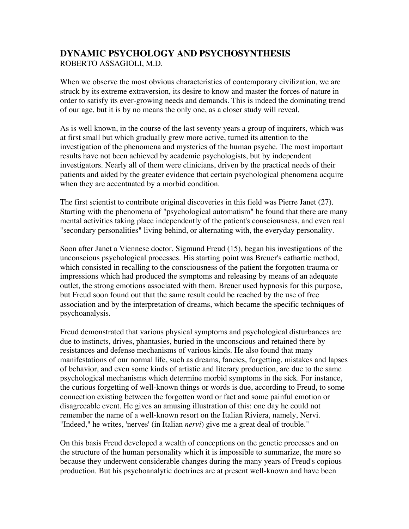# **DYNAMIC PSYCHOLOGY AND PSYCHOSYNTHESIS** ROBERTO ASSAGIOLI, M.D.

When we observe the most obvious characteristics of contemporary civilization, we are struck by its extreme extraversion, its desire to know and master the forces of nature in order to satisfy its ever-growing needs and demands. This is indeed the dominating trend of our age, but it is by no means the only one, as a closer study will reveal.

As is well known, in the course of the last seventy years a group of inquirers, which was at first small but which gradually grew more active, turned its attention to the investigation of the phenomena and mysteries of the human psyche. The most important results have not been achieved by academic psychologists, but by independent investigators. Nearly all of them were clinicians, driven by the practical needs of their patients and aided by the greater evidence that certain psychological phenomena acquire when they are accentuated by a morbid condition.

The first scientist to contribute original discoveries in this field was Pierre Janet (27). Starting with the phenomena of "psychological automatism" he found that there are many mental activities taking place independently of the patient's consciousness, and even real "secondary personalities" living behind, or alternating with, the everyday personality.

Soon after Janet a Viennese doctor, Sigmund Freud (15), began his investigations of the unconscious psychological processes. His starting point was Breuer's cathartic method, which consisted in recalling to the consciousness of the patient the forgotten trauma or impressions which had produced the symptoms and releasing by means of an adequate outlet, the strong emotions associated with them. Breuer used hypnosis for this purpose, but Freud soon found out that the same result could be reached by the use of free association and by the interpretation of dreams, which became the specific techniques of psychoanalysis.

Freud demonstrated that various physical symptoms and psychological disturbances are due to instincts, drives, phantasies, buried in the unconscious and retained there by resistances and defense mechanisms of various kinds. He also found that many manifestations of our normal life, such as dreams, fancies, forgetting, mistakes and lapses of behavior, and even some kinds of artistic and literary production, are due to the same psychological mechanisms which determine morbid symptoms in the sick. For instance, the curious forgetting of well-known things or words is due, according to Freud, to some connection existing between the forgotten word or fact and some painful emotion or disagreeable event. He gives an amusing illustration of this: one day he could not remember the name of a well-known resort on the Italian Riviera, namely, Nervi. "Indeed," he writes, 'nerves' (in Italian *nervi*) give me a great deal of trouble."

On this basis Freud developed a wealth of conceptions on the genetic processes and on the structure of the human personality which it is impossible to summarize, the more so because they underwent considerable changes during the many years of Freud's copious production. But his psychoanalytic doctrines are at present well-known and have been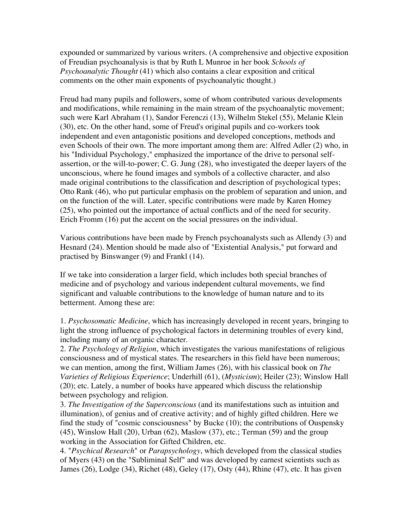expounded or summarized by various writers. (A comprehensive and objective exposition of Freudian psychoanalysis is that by Ruth L Munroe in her book *Schools of Psychoanalytic Thought* (41) which also contains a clear exposition and critical comments on the other main exponents of psychoanalytic thought.)

Freud had many pupils and followers, some of whom contributed various developments and modifications, while remaining in the main stream of the psychoanalytic movement; such were Karl Abraham (1), Sandor Ferenczi (13), Wilhelm Stekel (55), Melanie Klein (30), etc. On the other hand, some of Freud's original pupils and co-workers took independent and even antagonistic positions and developed conceptions, methods and even Schools of their own. The more important among them are: Alfred Adler (2) who, in his "Individual Psychology," emphasized the importance of the drive to personal selfassertion, or the will-to-power; C. G. Jung (28), who investigated the deeper layers of the unconscious, where he found images and symbols of a collective character, and also made original contributions to the classification and description of psychological types; Otto Rank (46), who put particular emphasis on the problem of separation and union, and on the function of the will. Later, specific contributions were made by Karen Homey (25), who pointed out the importance of actual conflicts and of the need for security. Erich Fromm (16) put the accent on the social pressures on the individual.

Various contributions have been made by French psychoanalysts such as Allendy (3) and Hesnard (24). Mention should be made also of "Existential Analysis," put forward and practised by Binswanger (9) and Frankl (14).

If we take into consideration a larger field, which includes both special branches of medicine and of psychology and various independent cultural movements, we find significant and valuable contributions to the knowledge of human nature and to its betterment. Among these are:

1. *Psychosomatic Medicine*, which has increasingly developed in recent years, bringing to light the strong influence of psychological factors in determining troubles of every kind, including many of an organic character.

2. *The Psychology of Religion*, which investigates the various manifestations of religious consciousness and of mystical states. The researchers in this field have been numerous; we can mention, among the first, William James (26), with his classical book on *The Varieties of Religious Experience*; Underhill (61), (*Mysticism*); Heiler (23); Winslow Hall (20); etc. Lately, a number of books have appeared which discuss the relationship between psychology and religion.

3. *The Investigation of the Superconscious* (and its manifestations such as intuition and illumination), of genius and of creative activity; and of highly gifted children. Here we find the study of "cosmic consciousness" by Bucke (10); the contributions of Ouspensky (45), Winslow Hall (20), Urban (62), Maslow (37), etc.; Terman (59) and the group working in the Association for Gifted Children, etc.

4. "*Psychical Research*" or *Parapsychology*, which developed from the classical studies of Myers (43) on the "Subliminal Self" and was developed by earnest scientists such as James (26), Lodge (34), Richet (48), Geley (17), Osty (44), Rhine (47), etc. It has given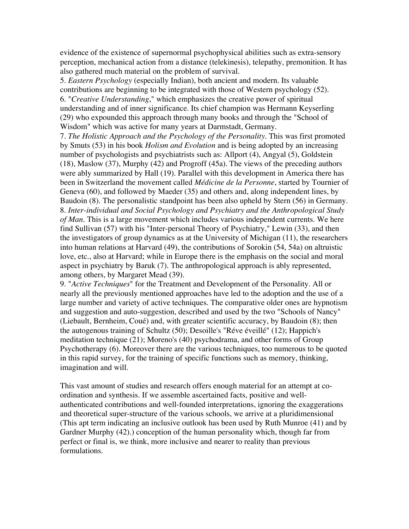evidence of the existence of supernormal psychophysical abilities such as extra-sensory perception, mechanical action from a distance (telekinesis), telepathy, premonition. It has also gathered much material on the problem of survival.

5. *Eastern Psychology* (especially Indian), both ancient and modern. Its valuable contributions are beginning to be integrated with those of Western psychology (52). 6. "*Creative Understanding*," which emphasizes the creative power of spiritual understanding and of inner significance. Its chief champion was Hermann Keyserling (29) who expounded this approach through many books and through the "School of Wisdom" which was active for many years at Darmstadt, Germany.

7. *The Holistic Approach and the Psychology of the Personality*. This was first promoted by Smuts (53) in his book *Holism and Evolution* and is being adopted by an increasing number of psychologists and psychiatrists such as: Allport (4), Angyal (5), Goldstein (18), Maslow (37), Murphy (42) and Progroff (45a). The views of the preceding authors were ably summarized by Hall (19). Parallel with this development in America there has been in Switzerland the movement called *Médicine de la Personne*, started by Tournier of Geneva (60), and followed by Maeder (35) and others and, along independent lines, by Baudoin (8). The personalistic standpoint has been also upheld by Stern (56) in Germany. 8. *Inter-individual and Social Psychology and Psychiatry and the Anthropological Study of Man*. This is a large movement which includes various independent currents. We here find Sullivan (57) with his "Inter-personal Theory of Psychiatry," Lewin (33), and then the investigators of group dynamics as at the University of Michigan (11), the researchers into human relations at Harvard (49), the contributions of Sorokin (54, 54a) on altruistic love, etc., also at Harvard; while in Europe there is the emphasis on the social and moral aspect in psychiatry by Baruk (7). The anthropological approach is ably represented, among others, by Margaret Mead (39).

9. "*Active Techniques*" for the Treatment and Development of the Personality. All or nearly all the previously mentioned approaches have led to the adoption and the use of a large number and variety of active techniques. The comparative older ones are hypnotism and suggestion and auto-suggestion, described and used by the two "Schools of Nancy" (Liebault, Bernheim, Coué) and, with greater scientific accuracy, by Baudoin (8); then the autogenous training of Schultz (50); Desoille's "Réve éveillé" (12); Happich's meditation technique (21); Moreno's (40) psychodrama, and other forms of Group Psychotherapy (6). Moreover there are the various techniques, too numerous to be quoted in this rapid survey, for the training of specific functions such as memory, thinking, imagination and will.

This vast amount of studies and research offers enough material for an attempt at coordination and synthesis. If we assemble ascertained facts, positive and wellauthenticated contributions and well-founded interpretations, ignoring the exaggerations and theoretical super-structure of the various schools, we arrive at a pluridimensional (This apt term indicating an inclusive outlook has been used by Ruth Munroe (41) and by Gardner Murphy (42).) conception of the human personality which, though far from perfect or final is, we think, more inclusive and nearer to reality than previous formulations.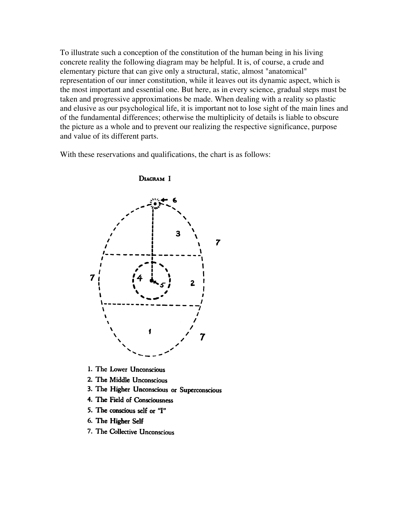To illustrate such a conception of the constitution of the human being in his living concrete reality the following diagram may be helpful. It is, of course, a crude and elementary picture that can give only a structural, static, almost "anatomical" representation of our inner constitution, while it leaves out its dynamic aspect, which is the most important and essential one. But here, as in every science, gradual steps must be taken and progressive approximations be made. When dealing with a reality so plastic and elusive as our psychological life, it is important not to lose sight of the main lines and of the fundamental differences; otherwise the multiplicity of details is liable to obscure the picture as a whole and to prevent our realizing the respective significance, purpose and value of its different parts.

With these reservations and qualifications, the chart is as follows:



DIAGRAM I

- 1. The Lower Unconscious
- 2. The Middle Unconscious
- 3. The Higher Unconscious or Superconscious
- 4. The Field of Consciousness
- 5. The conscious self or "I"
- 6. The Higher Self
- 7. The Collective Unconscious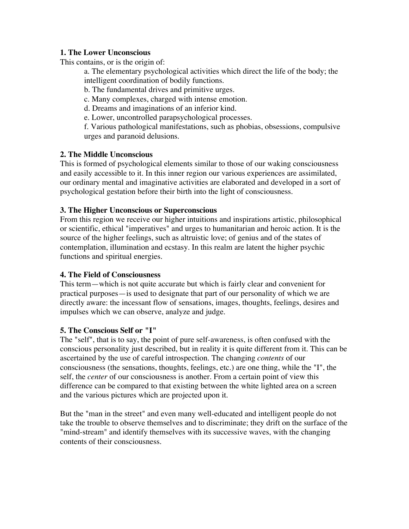# **1. The Lower Unconscious**

This contains, or is the origin of:

a. The elementary psychological activities which direct the life of the body; the intelligent coordination of bodily functions.

b. The fundamental drives and primitive urges.

c. Many complexes, charged with intense emotion.

d. Dreams and imaginations of an inferior kind.

e. Lower, uncontrolled parapsychological processes.

f. Various pathological manifestations, such as phobias, obsessions, compulsive urges and paranoid delusions.

# **2. The Middle Unconscious**

This is formed of psychological elements similar to those of our waking consciousness and easily accessible to it. In this inner region our various experiences are assimilated, our ordinary mental and imaginative activities are elaborated and developed in a sort of psychological gestation before their birth into the light of consciousness.

# **3. The Higher Unconscious or Superconscious**

From this region we receive our higher intuitions and inspirations artistic, philosophical or scientific, ethical "imperatives" and urges to humanitarian and heroic action. It is the source of the higher feelings, such as altruistic love; of genius and of the states of contemplation, illumination and ecstasy. In this realm are latent the higher psychic functions and spiritual energies.

### **4. The Field of Consciousness**

This term—which is not quite accurate but which is fairly clear and convenient for practical purposes—is used to designate that part of our personality of which we are directly aware: the incessant flow of sensations, images, thoughts, feelings, desires and impulses which we can observe, analyze and judge.

### **5. The Conscious Self or "I"**

The "self", that is to say, the point of pure self-awareness, is often confused with the conscious personality just described, but in reality it is quite different from it. This can be ascertained by the use of careful introspection. The changing *contents* of our consciousness (the sensations, thoughts, feelings, etc.) are one thing, while the "I", the self, the *center* of our consciousness is another. From a certain point of view this difference can be compared to that existing between the white lighted area on a screen and the various pictures which are projected upon it.

But the "man in the street" and even many well-educated and intelligent people do not take the trouble to observe themselves and to discriminate; they drift on the surface of the "mind-stream" and identify themselves with its successive waves, with the changing contents of their consciousness.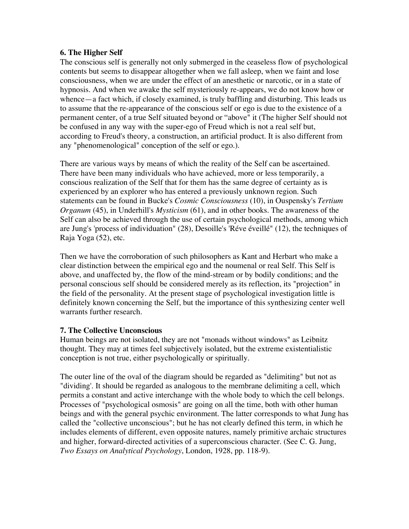# **6. The Higher Self**

The conscious self is generally not only submerged in the ceaseless flow of psychological contents but seems to disappear altogether when we fall asleep, when we faint and lose consciousness, when we are under the effect of an anesthetic or narcotic, or in a state of hypnosis. And when we awake the self mysteriously re-appears, we do not know how or whence—a fact which, if closely examined, is truly baffling and disturbing. This leads us to assume that the re-appearance of the conscious self or ego is due to the existence of a permanent center, of a true Self situated beyond or "above" it (The higher Self should not be confused in any way with the super-ego of Freud which is not a real self but, according to Freud's theory, a construction, an artificial product. It is also different from any "phenomenological" conception of the self or ego.).

There are various ways by means of which the reality of the Self can be ascertained. There have been many individuals who have achieved, more or less temporarily, a conscious realization of the Self that for them has the same degree of certainty as is experienced by an explorer who has entered a previously unknown region. Such statements can be found in Bucke's *Cosmic Consciousness* (10), in Ouspensky's *Tertium Organum* (45), in Underhill's *Mysticism* (61), and in other books. The awareness of the Self can also be achieved through the use of certain psychological methods, among which are Jung's 'process of individuation" (28), Desoille's 'Réve éveillé" (12), the techniques of Raja Yoga (52), etc.

Then we have the corroboration of such philosophers as Kant and Herbart who make a clear distinction between the empirical ego and the noumenal or real Self. This Self is above, and unaffected by, the flow of the mind-stream or by bodily conditions; and the personal conscious self should be considered merely as its reflection, its "projection" in the field of the personality. At the present stage of psychological investigation little is definitely known concerning the Self, but the importance of this synthesizing center well warrants further research.

# **7. The Collective Unconscious**

Human beings are not isolated, they are not "monads without windows" as Leibnitz thought. They may at times feel subjectively isolated, but the extreme existentialistic conception is not true, either psychologically or spiritually.

The outer line of the oval of the diagram should be regarded as "delimiting" but not as "dividing'. It should be regarded as analogous to the membrane delimiting a cell, which permits a constant and active interchange with the whole body to which the cell belongs. Processes of "psychological osmosis" are going on all the time, both with other human beings and with the general psychic environment. The latter corresponds to what Jung has called the "collective unconscious"; but he has not clearly defined this term, in which he includes elements of different, even opposite natures, namely primitive archaic structures and higher, forward-directed activities of a superconscious character. (See C. G. Jung, *Two Essays on Analytical Psychology*, London, 1928, pp. 118-9).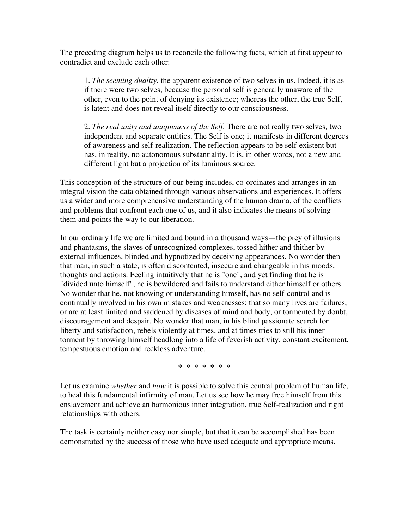The preceding diagram helps us to reconcile the following facts, which at first appear to contradict and exclude each other:

1. *The seeming duality*, the apparent existence of two selves in us. Indeed, it is as if there were two selves, because the personal self is generally unaware of the other, even to the point of denying its existence; whereas the other, the true Self, is latent and does not reveal itself directly to our consciousness.

2. *The real unity and uniqueness of the Self*. There are not really two selves, two independent and separate entities. The Self is one; it manifests in different degrees of awareness and self-realization. The reflection appears to be self-existent but has, in reality, no autonomous substantiality. It is, in other words, not a new and different light but a projection of its luminous source.

This conception of the structure of our being includes, co-ordinates and arranges in an integral vision the data obtained through various observations and experiences. It offers us a wider and more comprehensive understanding of the human drama, of the conflicts and problems that confront each one of us, and it also indicates the means of solving them and points the way to our liberation.

In our ordinary life we are limited and bound in a thousand ways—the prey of illusions and phantasms, the slaves of unrecognized complexes, tossed hither and thither by external influences, blinded and hypnotized by deceiving appearances. No wonder then that man, in such a state, is often discontented, insecure and changeable in his moods, thoughts and actions. Feeling intuitively that he is "one", and yet finding that he is "divided unto himself", he is bewildered and fails to understand either himself or others. No wonder that he, not knowing or understanding himself, has no self-control and is continually involved in his own mistakes and weaknesses; that so many lives are failures, or are at least limited and saddened by diseases of mind and body, or tormented by doubt, discouragement and despair. No wonder that man, in his blind passionate search for liberty and satisfaction, rebels violently at times, and at times tries to still his inner torment by throwing himself headlong into a life of feverish activity, constant excitement, tempestuous emotion and reckless adventure.

**\* \* \* \* \* \* \***

Let us examine *whether* and *how* it is possible to solve this central problem of human life, to heal this fundamental infirmity of man. Let us see how he may free himself from this enslavement and achieve an harmonious inner integration, true Self-realization and right relationships with others.

The task is certainly neither easy nor simple, but that it can be accomplished has been demonstrated by the success of those who have used adequate and appropriate means.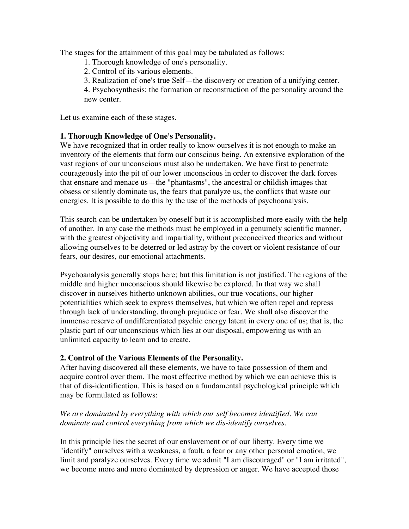The stages for the attainment of this goal may be tabulated as follows:

- 1. Thorough knowledge of one's personality.
- 2. Control of its various elements.
- 3. Realization of one's true Self—the discovery or creation of a unifying center.

4. Psychosynthesis: the formation or reconstruction of the personality around the new center.

Let us examine each of these stages.

# **1. Thorough Knowledge of One's Personality.**

We have recognized that in order really to know ourselves it is not enough to make an inventory of the elements that form our conscious being. An extensive exploration of the vast regions of our unconscious must also be undertaken. We have first to penetrate courageously into the pit of our lower unconscious in order to discover the dark forces that ensnare and menace us—the "phantasms", the ancestral or childish images that obsess or silently dominate us, the fears that paralyze us, the conflicts that waste our energies. It is possible to do this by the use of the methods of psychoanalysis.

This search can be undertaken by oneself but it is accomplished more easily with the help of another. In any case the methods must be employed in a genuinely scientific manner, with the greatest objectivity and impartiality, without preconceived theories and without allowing ourselves to be deterred or led astray by the covert or violent resistance of our fears, our desires, our emotional attachments.

Psychoanalysis generally stops here; but this limitation is not justified. The regions of the middle and higher unconscious should likewise be explored. In that way we shall discover in ourselves hitherto unknown abilities, our true vocations, our higher potentialities which seek to express themselves, but which we often repel and repress through lack of understanding, through prejudice or fear. We shall also discover the immense reserve of undifferentiated psychic energy latent in every one of us; that is, the plastic part of our unconscious which lies at our disposal, empowering us with an unlimited capacity to learn and to create.

### **2. Control of the Various Elements of the Personality.**

After having discovered all these elements, we have to take possession of them and acquire control over them. The most effective method by which we can achieve this is that of dis-identification. This is based on a fundamental psychological principle which may be formulated as follows:

# *We are dominated by everything with which our self becomes identified. We can dominate and control everything from which we dis-identify ourselves.*

In this principle lies the secret of our enslavement or of our liberty. Every time we "identify" ourselves with a weakness, a fault, a fear or any other personal emotion, we limit and paralyze ourselves. Every time we admit "I am discouraged" or "I am irritated", we become more and more dominated by depression or anger. We have accepted those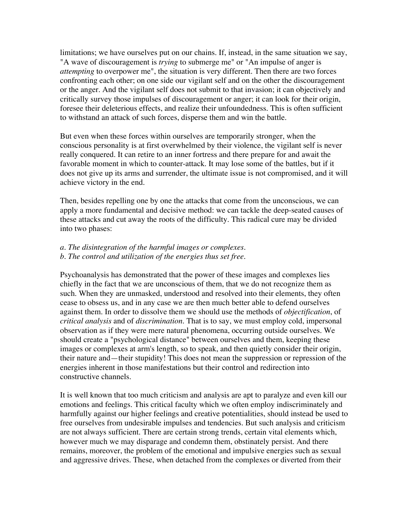limitations; we have ourselves put on our chains. If, instead, in the same situation we say, "A wave of discouragement is *trying* to submerge me" or "An impulse of anger is *attempting* to overpower me", the situation is very different. Then there are two forces confronting each other; on one side our vigilant self and on the other the discouragement or the anger. And the vigilant self does not submit to that invasion; it can objectively and critically survey those impulses of discouragement or anger; it can look for their origin, foresee their deleterious effects, and realize their unfoundedness. This is often sufficient to withstand an attack of such forces, disperse them and win the battle.

But even when these forces within ourselves are temporarily stronger, when the conscious personality is at first overwhelmed by their violence, the vigilant self is never really conquered. It can retire to an inner fortress and there prepare for and await the favorable moment in which to counter-attack. It may lose some of the battles, but if it does not give up its arms and surrender, the ultimate issue is not compromised, and it will achieve victory in the end.

Then, besides repelling one by one the attacks that come from the unconscious, we can apply a more fundamental and decisive method: we can tackle the deep-seated causes of these attacks and cut away the roots of the difficulty. This radical cure may be divided into two phases:

### *a. The disintegration of the harmful images or complexes. b. The control and utilization of the energies thus set free.*

Psychoanalysis has demonstrated that the power of these images and complexes lies chiefly in the fact that we are unconscious of them, that we do not recognize them as such. When they are unmasked, understood and resolved into their elements, they often cease to obsess us, and in any case we are then much better able to defend ourselves against them. In order to dissolve them we should use the methods of *objectification*, of *critical analysis* and of *discrimination*. That is to say, we must employ cold, impersonal observation as if they were mere natural phenomena, occurring outside ourselves. We should create a "psychological distance" between ourselves and them, keeping these images or complexes at arm's length, so to speak, and then quietly consider their origin, their nature and—their stupidity! This does not mean the suppression or repression of the energies inherent in those manifestations but their control and redirection into constructive channels.

It is well known that too much criticism and analysis are apt to paralyze and even kill our emotions and feelings. This critical faculty which we often employ indiscriminately and harmfully against our higher feelings and creative potentialities, should instead be used to free ourselves from undesirable impulses and tendencies. But such analysis and criticism are not always sufficient. There are certain strong trends, certain vital elements which, however much we may disparage and condemn them, obstinately persist. And there remains, moreover, the problem of the emotional and impulsive energies such as sexual and aggressive drives. These, when detached from the complexes or diverted from their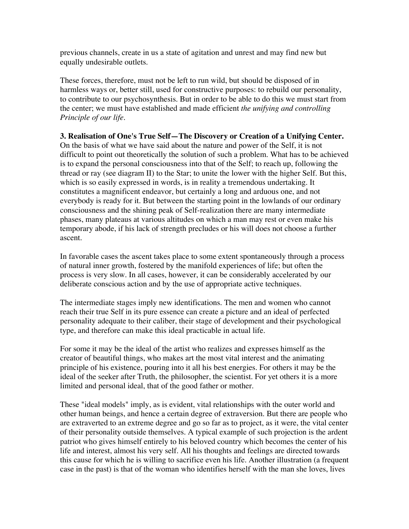previous channels, create in us a state of agitation and unrest and may find new but equally undesirable outlets.

These forces, therefore, must not be left to run wild, but should be disposed of in harmless ways or, better still, used for constructive purposes: to rebuild our personality, to contribute to our psychosynthesis. But in order to be able to do this we must start from the center; we must have established and made efficient *the unifying and controlling Principle of our life.*

**3. Realisation of One's True Self—The Discovery or Creation of a Unifying Center.** On the basis of what we have said about the nature and power of the Self, it is not difficult to point out theoretically the solution of such a problem. What has to be achieved is to expand the personal consciousness into that of the Self; to reach up, following the thread or ray (see diagram II) to the Star; to unite the lower with the higher Self. But this, which is so easily expressed in words, is in reality a tremendous undertaking. It constitutes a magnificent endeavor, but certainly a long and arduous one, and not everybody is ready for it. But between the starting point in the lowlands of our ordinary consciousness and the shining peak of Self-realization there are many intermediate phases, many plateaus at various altitudes on which a man may rest or even make his temporary abode, if his lack of strength precludes or his will does not choose a further ascent.

In favorable cases the ascent takes place to some extent spontaneously through a process of natural inner growth, fostered by the manifold experiences of life; but often the process is very slow. In all cases, however, it can be considerably accelerated by our deliberate conscious action and by the use of appropriate active techniques.

The intermediate stages imply new identifications. The men and women who cannot reach their true Self in its pure essence can create a picture and an ideal of perfected personality adequate to their caliber, their stage of development and their psychological type, and therefore can make this ideal practicable in actual life.

For some it may be the ideal of the artist who realizes and expresses himself as the creator of beautiful things, who makes art the most vital interest and the animating principle of his existence, pouring into it all his best energies. For others it may be the ideal of the seeker after Truth, the philosopher, the scientist. For yet others it is a more limited and personal ideal, that of the good father or mother.

These "ideal models" imply, as is evident, vital relationships with the outer world and other human beings, and hence a certain degree of extraversion. But there are people who are extraverted to an extreme degree and go so far as to project, as it were, the vital center of their personality outside themselves. A typical example of such projection is the ardent patriot who gives himself entirely to his beloved country which becomes the center of his life and interest, almost his very self. All his thoughts and feelings are directed towards this cause for which he is willing to sacrifice even his life. Another illustration (a frequent case in the past) is that of the woman who identifies herself with the man she loves, lives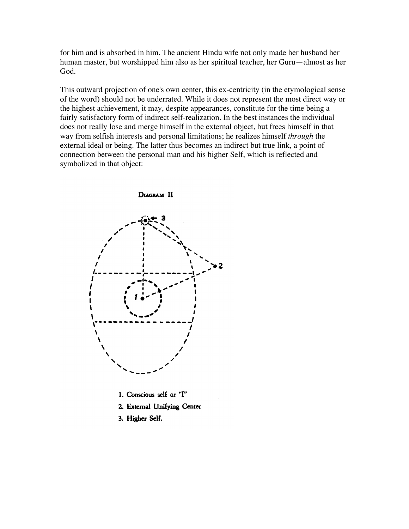for him and is absorbed in him. The ancient Hindu wife not only made her husband her human master, but worshipped him also as her spiritual teacher, her Guru—almost as her God.

This outward projection of one's own center, this ex-centricity (in the etymological sense of the word) should not be underrated. While it does not represent the most direct way or the highest achievement, it may, despite appearances, constitute for the time being a fairly satisfactory form of indirect self-realization. In the best instances the individual does not really lose and merge himself in the external object, but frees himself in that way from selfish interests and personal limitations; he realizes himself *through* the external ideal or being. The latter thus becomes an indirect but true link, a point of connection between the personal man and his higher Self, which is reflected and symbolized in that object:



- 1. Conscious self or "I"
- 2. External Unifying Center
- 3. Higher Self.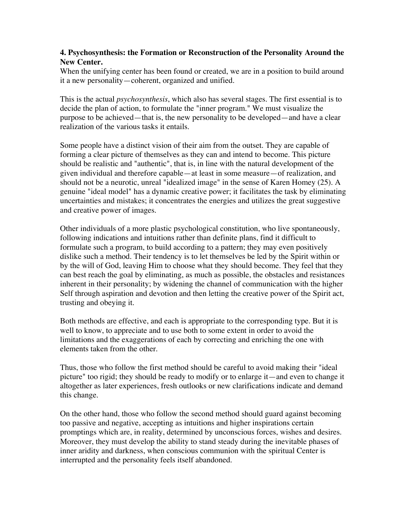# **4. Psychosynthesis: the Formation or Reconstruction of the Personality Around the New Center.**

When the unifying center has been found or created, we are in a position to build around it a new personality—coherent, organized and unified.

This is the actual *psychosynthesis*, which also has several stages. The first essential is to decide the plan of action, to formulate the "inner program." We must visualize the purpose to be achieved—that is, the new personality to be developed—and have a clear realization of the various tasks it entails.

Some people have a distinct vision of their aim from the outset. They are capable of forming a clear picture of themselves as they can and intend to become. This picture should be realistic and "authentic", that is, in line with the natural development of the given individual and therefore capable—at least in some measure—of realization, and should not be a neurotic, unreal "idealized image" in the sense of Karen Homey (25). A genuine "ideal model" has a dynamic creative power; it facilitates the task by eliminating uncertainties and mistakes; it concentrates the energies and utilizes the great suggestive and creative power of images.

Other individuals of a more plastic psychological constitution, who live spontaneously, following indications and intuitions rather than definite plans, find it difficult to formulate such a program, to build according to a pattern; they may even positively dislike such a method. Their tendency is to let themselves be led by the Spirit within or by the will of God, leaving Him to choose what they should become. They feel that they can best reach the goal by eliminating, as much as possible, the obstacles and resistances inherent in their personality; by widening the channel of communication with the higher Self through aspiration and devotion and then letting the creative power of the Spirit act, trusting and obeying it.

Both methods are effective, and each is appropriate to the corresponding type. But it is well to know, to appreciate and to use both to some extent in order to avoid the limitations and the exaggerations of each by correcting and enriching the one with elements taken from the other.

Thus, those who follow the first method should be careful to avoid making their "ideal picture" too rigid; they should be ready to modify or to enlarge it—and even to change it altogether as later experiences, fresh outlooks or new clarifications indicate and demand this change.

On the other hand, those who follow the second method should guard against becoming too passive and negative, accepting as intuitions and higher inspirations certain promptings which are, in reality, determined by unconscious forces, wishes and desires. Moreover, they must develop the ability to stand steady during the inevitable phases of inner aridity and darkness, when conscious communion with the spiritual Center is interrupted and the personality feels itself abandoned.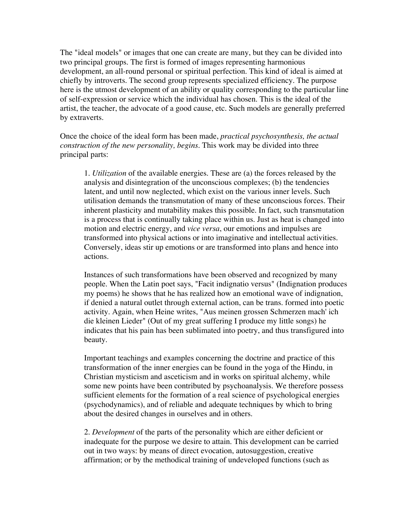The "ideal models" or images that one can create are many, but they can be divided into two principal groups. The first is formed of images representing harmonious development, an all-round personal or spiritual perfection. This kind of ideal is aimed at chiefly by introverts. The second group represents specialized efficiency. The purpose here is the utmost development of an ability or quality corresponding to the particular line of self-expression or service which the individual has chosen. This is the ideal of the artist, the teacher, the advocate of a good cause, etc. Such models are generally preferred by extraverts.

Once the choice of the ideal form has been made, *practical psychosynthesis, the actual construction of the new personality, begins*. This work may be divided into three principal parts:

1. *Utilization* of the available energies. These are (a) the forces released by the analysis and disintegration of the unconscious complexes; (b) the tendencies latent, and until now neglected, which exist on the various inner levels. Such utilisation demands the transmutation of many of these unconscious forces. Their inherent plasticity and mutability makes this possible. In fact, such transmutation is a process that is continually taking place within us. Just as heat is changed into motion and electric energy, and *vice versa*, our emotions and impulses are transformed into physical actions or into imaginative and intellectual activities. Conversely, ideas stir up emotions or are transformed into plans and hence into actions.

Instances of such transformations have been observed and recognized by many people. When the Latin poet says, "Facit indignatio versus" (Indignation produces my poems) he shows that he has realized how an emotional wave of indignation, if denied a natural outlet through external action, can be trans. formed into poetic activity. Again, when Heine writes, "Aus meinen grossen Schmerzen mach' ich die kleinen Lieder" (Out of my great suffering I produce my little songs) he indicates that his pain has been sublimated into poetry, and thus transfigured into beauty.

Important teachings and examples concerning the doctrine and practice of this transformation of the inner energies can be found in the yoga of the Hindu, in Christian mysticism and asceticism and in works on spiritual alchemy, while some new points have been contributed by psychoanalysis. We therefore possess sufficient elements for the formation of a real science of psychological energies (psychodynamics), and of reliable and adequate techniques by which to bring about the desired changes in ourselves and in others.

2. *Development* of the parts of the personality which are either deficient or inadequate for the purpose we desire to attain. This development can be carried out in two ways: by means of direct evocation, autosuggestion, creative affirmation; or by the methodical training of undeveloped functions (such as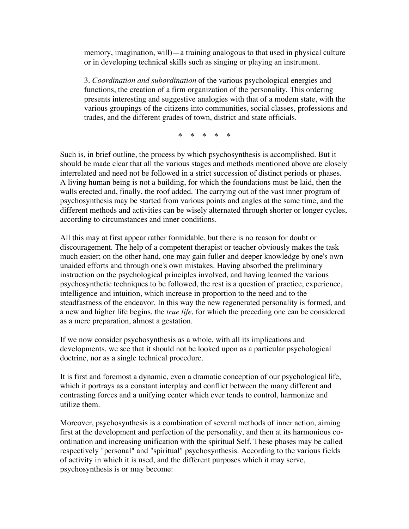memory, imagination, will)—a training analogous to that used in physical culture or in developing technical skills such as singing or playing an instrument.

3. *Coordination and subordination* of the various psychological energies and functions, the creation of a firm organization of the personality. This ordering presents interesting and suggestive analogies with that of a modem state, with the various groupings of the citizens into communities, social classes, professions and trades, and the different grades of town, district and state officials.

**\* \* \* \* \***

Such is, in brief outline, the process by which psychosynthesis is accomplished. But it should be made clear that all the various stages and methods mentioned above are closely interrelated and need not be followed in a strict succession of distinct periods or phases. A living human being is not a building, for which the foundations must be laid, then the walls erected and, finally, the roof added. The carrying out of the vast inner program of psychosynthesis may be started from various points and angles at the same time, and the different methods and activities can be wisely alternated through shorter or longer cycles, according to circumstances and inner conditions.

All this may at first appear rather formidable, but there is no reason for doubt or discouragement. The help of a competent therapist or teacher obviously makes the task much easier; on the other hand, one may gain fuller and deeper knowledge by one's own unaided efforts and through one's own mistakes. Having absorbed the preliminary instruction on the psychological principles involved, and having learned the various psychosynthetic techniques to be followed, the rest is a question of practice, experience, intelligence and intuition, which increase in proportion to the need and to the steadfastness of the endeavor. In this way the new regenerated personality is formed, and a new and higher life begins, the *true life*, for which the preceding one can be considered as a mere preparation, almost a gestation.

If we now consider psychosynthesis as a whole, with all its implications and developments, we see that it should not be looked upon as a particular psychological doctrine, nor as a single technical procedure.

It is first and foremost a dynamic, even a dramatic conception of our psychological life, which it portrays as a constant interplay and conflict between the many different and contrasting forces and a unifying center which ever tends to control, harmonize and utilize them.

Moreover, psychosynthesis is a combination of several methods of inner action, aiming first at the development and perfection of the personality, and then at its harmonious coordination and increasing unification with the spiritual Self. These phases may be called respectively "personal" and "spiritual" psychosynthesis. According to the various fields of activity in which it is used, and the different purposes which it may serve, psychosynthesis is or may become: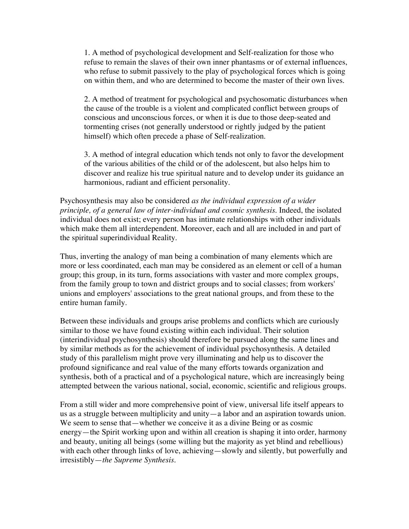1. A method of psychological development and Self-realization for those who refuse to remain the slaves of their own inner phantasms or of external influences, who refuse to submit passively to the play of psychological forces which is going on within them, and who are determined to become the master of their own lives.

2. A method of treatment for psychological and psychosomatic disturbances when the cause of the trouble is a violent and complicated conflict between groups of conscious and unconscious forces, or when it is due to those deep-seated and tormenting crises (not generally understood or rightly judged by the patient himself) which often precede a phase of Self-realization.

3. A method of integral education which tends not only to favor the development of the various abilities of the child or of the adolescent, but also helps him to discover and realize his true spiritual nature and to develop under its guidance an harmonious, radiant and efficient personality.

Psychosynthesis may also be considered *as the individual expression of a wider principle, of a general law of inter-individual and cosmic synthesis*. Indeed, the isolated individual does not exist; every person has intimate relationships with other individuals which make them all interdependent. Moreover, each and all are included in and part of the spiritual superindividual Reality.

Thus, inverting the analogy of man being a combination of many elements which are more or less coordinated, each man may be considered as an element or cell of a human group; this group, in its turn, forms associations with vaster and more complex groups, from the family group to town and district groups and to social classes; from workers' unions and employers' associations to the great national groups, and from these to the entire human family.

Between these individuals and groups arise problems and conflicts which are curiously similar to those we have found existing within each individual. Their solution (interindividual psychosynthesis) should therefore be pursued along the same lines and by similar methods as for the achievement of individual psychosynthesis. A detailed study of this parallelism might prove very illuminating and help us to discover the profound significance and real value of the many efforts towards organization and synthesis, both of a practical and of a psychological nature, which are increasingly being attempted between the various national, social, economic, scientific and religious groups.

From a still wider and more comprehensive point of view, universal life itself appears to us as a struggle between multiplicity and unity—a labor and an aspiration towards union. We seem to sense that—whether we conceive it as a divine Being or as cosmic energy—the Spirit working upon and within all creation is shaping it into order, harmony and beauty, uniting all beings (some willing but the majority as yet blind and rebellious) with each other through links of love, achieving—slowly and silently, but powerfully and irresistibly—*the Supreme Synthesis*.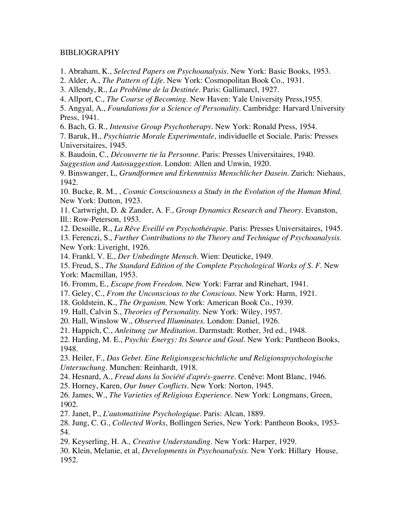#### BIBLIOGRAPHY

1. Abraham, K., *Selected Papers on Psychoanalysis*. New York: Basic Books, 1953.

2. Alder, A., *The Pattern of Life*. New York: Cosmopolitan Book Co., 1931.

3. Allendy, R., *La Problème de la Destinée*. Paris: Gallimarcl, 1927.

4. Allport, C., *The Course of Becoming*. New Haven: Yale University Press,1955.

5. Angyal, A., *Foundations for a Science of Personality*. Cambridge: Harvard University Press, 1941.

6. Bach, G. R., *Intensive Group Psychotherapy*. New York: Ronald Press, 1954.

7. Baruk, H., *Psychiatrie Morale Experimentale*, individuelle et Sociale. Paris: Presses Universitaires, 1945.

8. Baudoin, C., *Découverte tie la Personne*. Paris: Presses Universitaires, 1940.

*Suggestion and Autosuggestion*. London: Allen and Unwin, 1920.

9. Binswanger, L, *Grundformen und Erkenntniss Menschlicher Dasein*. Zurich: Niehaus, 1942.

10. Bucke, R. M., , *Cosmic Consciousness a Study in the Evolution of the Human Mind*. New York: Dutton, 1923.

11. Cartwright, D. & Zander, A. F., *Group Dynamics Research and Theory*. Evanston, Ill.: Row-Peterson, 1953.

12. Desoille, R., *La Rêve Eveillé en Psychothérapie*. Paris: Presses Universitaires, 1945.

13. Ferenczi, S., *Further Contributions to the Theory and Technique of Psychoanalysis*. New York: Liveright, 1926.

14. Frankl, V. E., *Der Unbedingte Mensch*. Wien: Deuticke, 1949.

15. Freud, S., *The Standard Edition of the Complete Psychological Works of S. F.* New York: Macmillan, 1953.

16. Fromm, E., *Escape from Freedom*. New York: Farrar and Rinehart, 1941.

17. Geley, C., *From the Unconscious to the Conscious*. New York: Harm, 1921.

18. Goldstein, K., *The Organism*. New York: American Book Co., 1939.

19. Hall, Calvin S., *Theories of Personality*. New York: Wiley, 1957.

20. Hall, Winslow W., *Observed Illuminates*. London: Daniel, 1926.

21. Happich, C., *Anleitung zur Meditation*. Darmstadt: Rother, 3rd ed., 1948.

22. Harding, M. E., *Psychic Energy: Its Source and Goal*. New York: Pantheon Books, 1948.

23. Heiler, F., *Das Gebet. Eine Religionsgeschichtliche und Religionspsychologische Untersuchung.* Munchen: Reinhardt, 1918.

24. Hesnard, A., *Freud dans la Société d'aprés-guerre*. Cenêve: Mont Blanc, 1946.

25. Horney, Karen, *Our Inner Conflicts*. New York: Norton, 1945.

26. James, W., *The Varieties of Religious Experience*. New York: Longmans, Green, 1902.

27. Janet, P., *L'automatisine Psychologique*. Paris: Alcan, 1889.

28. Jung, C. G., *Collected Works*, Bollingen Series, New York: Pantheon Books, 1953- 54.

29. Keyserling, H. A*., Creative Understanding*. New York: Harper, 1929.

30. Klein, Melanie, et al, *Developments in Psychoanalysis*. New York: Hillary House, 1952.